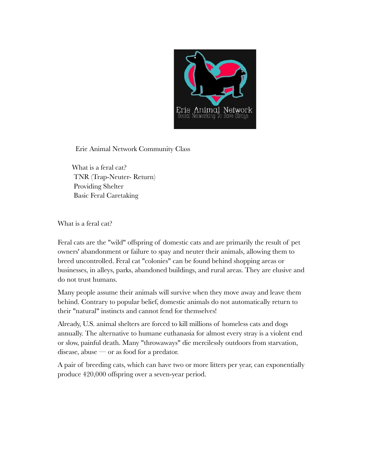

Erie Animal Network Community Class

 What is a feral cat? TNR (Trap-Neuter- Return) Providing Shelter Basic Feral Caretaking

What is a feral cat?

Feral cats are the "wild" offspring of domestic cats and are primarily the result of pet owners' abandonment or failure to spay and neuter their animals, allowing them to breed uncontrolled. Feral cat "colonies" can be found behind shopping areas or businesses, in alleys, parks, abandoned buildings, and rural areas. They are elusive and do not trust humans.

Many people assume their animals will survive when they move away and leave them behind. Contrary to popular belief, domestic animals do not automatically return to their "natural" instincts and cannot fend for themselves!

Already, U.S. animal shelters are forced to kill millions of homeless cats and dogs annually. The alternative to humane euthanasia for almost every stray is a violent end or slow, painful death. Many "throwaways" die mercilessly outdoors from starvation, disease, abuse — or as food for a predator.

A pair of breeding cats, which can have two or more litters per year, can exponentially produce 420,000 offspring over a seven-year period.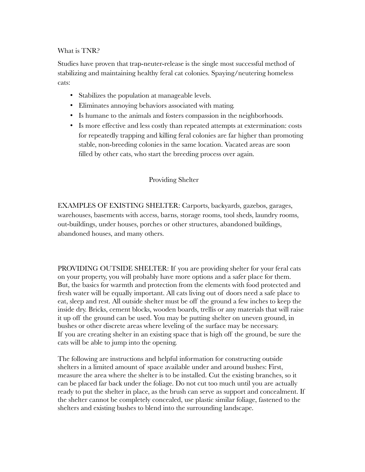## What is TNR?

Studies have proven that trap-neuter-release is the single most successful method of stabilizing and maintaining healthy feral cat colonies. Spaying/neutering homeless cats:

- Stabilizes the population at manageable levels.
- Eliminates annoying behaviors associated with mating.
- Is humane to the animals and fosters compassion in the neighborhoods.
- Is more effective and less costly than repeated attempts at extermination: costs for repeatedly trapping and killing feral colonies are far higher than promoting stable, non-breeding colonies in the same location. Vacated areas are soon filled by other cats, who start the breeding process over again.

## Providing Shelter

EXAMPLES OF EXISTING SHELTER: Carports, backyards, gazebos, garages, warehouses, basements with access, barns, storage rooms, tool sheds, laundry rooms, out-buildings, under houses, porches or other structures, abandoned buildings, abandoned houses, and many others.

PROVIDING OUTSIDE SHELTER: If you are providing shelter for your feral cats on your property, you will probably have more options and a safer place for them. But, the basics for warmth and protection from the elements with food protected and fresh water will be equally important. All cats living out of doors need a safe place to eat, sleep and rest. All outside shelter must be off the ground a few inches to keep the inside dry. Bricks, cement blocks, wooden boards, trellis or any materials that will raise it up off the ground can be used. You may be putting shelter on uneven ground, in bushes or other discrete areas where leveling of the surface may be necessary. If you are creating shelter in an existing space that is high off the ground, be sure the cats will be able to jump into the opening.

The following are instructions and helpful information for constructing outside shelters in a limited amount of space available under and around bushes: First, measure the area where the shelter is to be installed. Cut the existing branches, so it can be placed far back under the foliage. Do not cut too much until you are actually ready to put the shelter in place, as the brush can serve as support and concealment. If the shelter cannot be completely concealed, use plastic similar foliage, fastened to the shelters and existing bushes to blend into the surrounding landscape.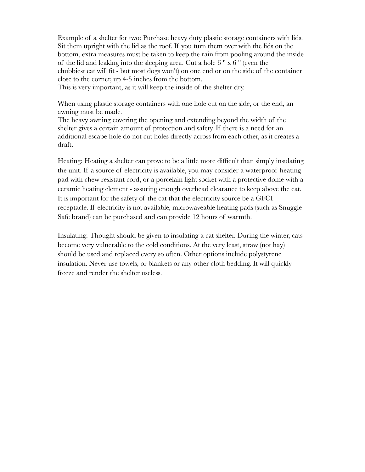Example of a shelter for two: Purchase heavy duty plastic storage containers with lids. Sit them upright with the lid as the roof. If you turn them over with the lids on the bottom, extra measures must be taken to keep the rain from pooling around the inside of the lid and leaking into the sleeping area. Cut a hole 6 " x 6 " (even the chubbiest cat will fit - but most dogs won't) on one end or on the side of the container close to the corner, up 4-5 inches from the bottom. This is very important, as it will keep the inside of the shelter dry.

When using plastic storage containers with one hole cut on the side, or the end, an awning must be made.

The heavy awning covering the opening and extending beyond the width of the shelter gives a certain amount of protection and safety. If there is a need for an additional escape hole do not cut holes directly across from each other, as it creates a draft.

Heating: Heating a shelter can prove to be a little more difficult than simply insulating the unit. If a source of electricity is available, you may consider a waterproof heating pad with chew resistant cord, or a porcelain light socket with a protective dome with a ceramic heating element - assuring enough overhead clearance to keep above the cat. It is important for the safety of the cat that the electricity source be a GFCI receptacle. If electricity is not available, microwaveable heating pads (such as Snuggle Safe brand) can be purchased and can provide 12 hours of warmth.

Insulating: Thought should be given to insulating a cat shelter. During the winter, cats become very vulnerable to the cold conditions. At the very least, straw (not hay) should be used and replaced every so often. Other options include polystyrene insulation. Never use towels, or blankets or any other cloth bedding. It will quickly freeze and render the shelter useless.